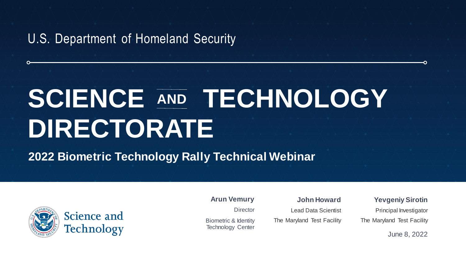U.S. Department of Homeland Security

# SCIENCE AND TECHNOLOGY **DIRECTORATE AND**

**2022 Biometric Technology Rally Technical Webinar**



**Director** 

Biometric & Identity Technology Center

**Arun Vemury John Howard**

Lead Data Scientist The Maryland Test Facility **Yevgeniy Sirotin**

O

Principal Investigator The Maryland Test Facility

June 8, 2022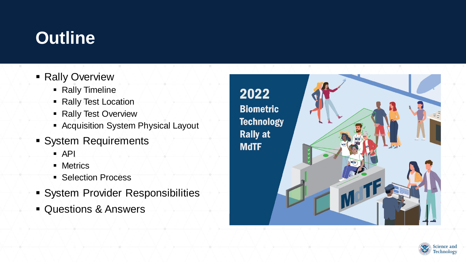# **Outline**

- **Rally Overview** 
	- Rally Timeline
	- Rally Test Location
	- Rally Test Overview
	- Acquisition System Physical Layout
- **System Requirements** 
	- $\overline{API}$
	- **■** Metrics
	- Selection Process
- **· System Provider Responsibilities**
- Questions & Answers



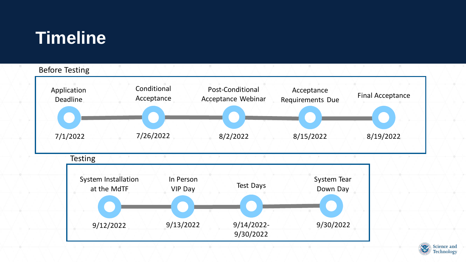# **Timeline**

9/12/2022



9/14/2022- 9/30/2022

9/30/2022

9/13/2022

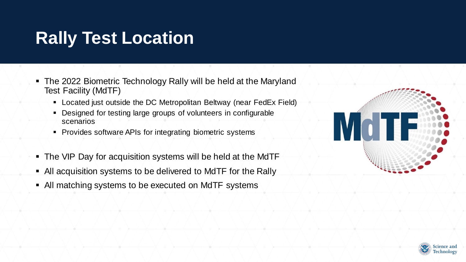# **Rally Test Location**

- The 2022 Biometric Technology Rally will be held at the Maryland Test Facility (MdTF)
	- Located just outside the DC Metropolitan Beltway (near FedEx Field)
	- Designed for testing large groups of volunteers in configurable scenarios
	- Provides software APIs for integrating biometric systems
- The VIP Day for acquisition systems will be held at the MdTF
- All acquisition systems to be delivered to MdTF for the Rally
- All matching systems to be executed on MdTF systems



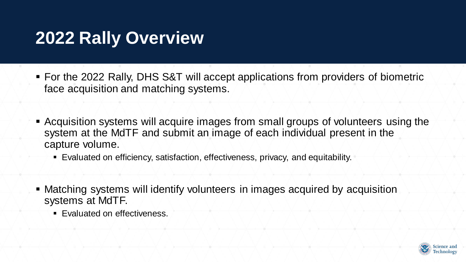### **2022 Rally Overview**

- For the 2022 Rally, DHS S&T will accept applications from providers of biometric face acquisition and matching systems.
- **Acquisition systems will acquire images from small groups of volunteers using the** system at the MdTF and submit an image of each individual present in the capture volume.
	- Evaluated on efficiency, satisfaction, effectiveness, privacy, and equitability.
- **Matching systems will identify volunteers in images acquired by acquisition** systems at MdTF.
	- Evaluated on effectiveness.

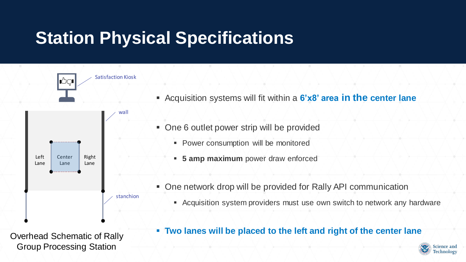# **Station Physical Specifications**

Group Processing Station



**Science and Fechnology**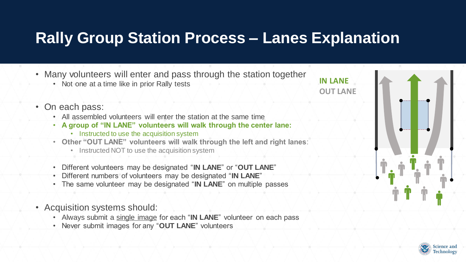#### **Rally Group Station Process – Lanes Explanation**



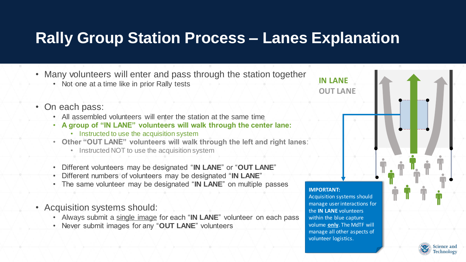#### **Rally Group Station Process – Lanes Explanation**

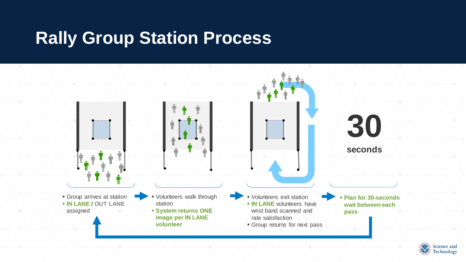#### **Rally Group Station Process**



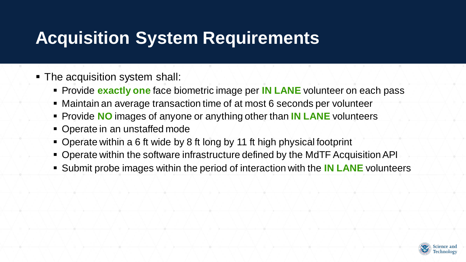# **Acquisition System Requirements**

- The acquisition system shall:
	- Provide **exactly one** face biometric image per **IN LANE** volunteer on each pass
	- Maintain an average transaction time of at most 6 seconds per volunteer
	- Provide **NO** images of anyone or anything other than **IN LANE** volunteers
	- Operate in an unstaffed mode
	- Operate within a 6 ft wide by 8 ft long by 11 ft high physical footprint
	- Operate within the software infrastructure defined by the MdTF Acquisition API
	- Submit probe images within the period of interaction with the **IN LANE** volunteers

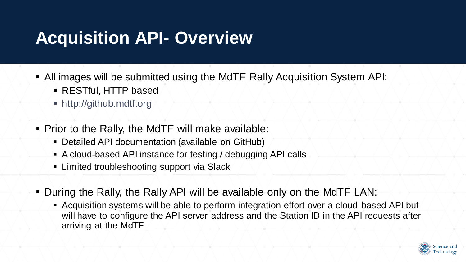# **Acquisition API- Overview**

- All images will be submitted using the MdTF Rally Acquisition System API:
	- **RESTful, HTTP based**
	- http://github.mdtf.org
- Prior to the Rally, the MdTF will make available:
	- Detailed API documentation (available on GitHub)
	- A cloud-based API instance for testing / debugging API calls
	- Limited troubleshooting support via Slack
- During the Rally, the Rally API will be available only on the MdTF LAN:
	- Acquisition systems will be able to perform integration effort over a cloud-based API but will have to configure the API server address and the Station ID in the API requests after arriving at the MdTF

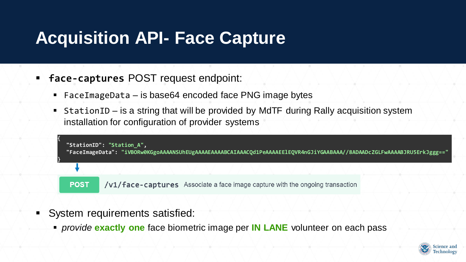## **Acquisition API- Face Capture**

- **face-captures** POST request endpoint:
	- FaceImageData is base64 encoded face PNG image bytes
	- StationID is a string that will be provided by MdTF during Rally acquisition system installation for configuration of provider systems

| "StationID": "Station_A",<br>"FaceImageData": "iVBORw0KGgoAAAANSUhEUgAAAAEAAAABCAIAAACQd1PeAAAAEElEQVR4nGJiYGAABAAA//8ADAADcZGLFwAAAABJRU5ErkJggg==" |                                                                               |
|------------------------------------------------------------------------------------------------------------------------------------------------------|-------------------------------------------------------------------------------|
|                                                                                                                                                      |                                                                               |
| <b>POST</b>                                                                                                                                          | /v1/face-captures Associate a face image capture with the ongoing transaction |

- System requirements satisfied:
	- *provide* **exactly one** face biometric image per **IN LANE** volunteer on each pass

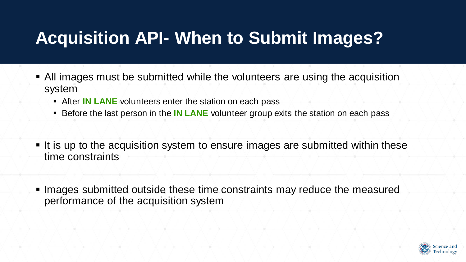# **Acquisition API- When to Submit Images?**

- All images must be submitted while the volunteers are using the acquisition system
	- After **IN LANE** volunteers enter the station on each pass
	- Before the last person in the **IN LANE** volunteer group exits the station on each pass
- It is up to the acquisition system to ensure images are submitted within these time constraints
- Images submitted outside these time constraints may reduce the measured performance of the acquisition system

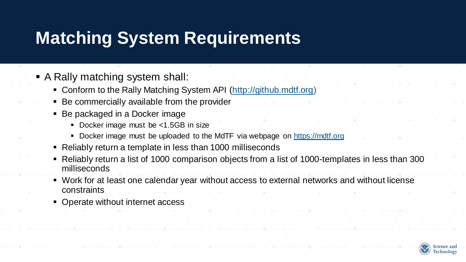# **Matching System Requirements**

- A Rally matching system shall:
	- Conform to the Rally Matching System API (http://github.mdtf.org)
	- Be commercially available from the provider
	- Be packaged in a Docker image
		- Docker image must be <1.5GB in size
		- Docker image must be uploaded to the MdTF via webpage on https://mdtf.org
	- Reliably return a template in less than 1000 milliseconds
	- Reliably return a list of 1000 comparison objects from a list of 1000-templates in less than 300 milliseconds
	- Work for at least one calendar year without access to external networks and without license constraints
	- Operate without internet access

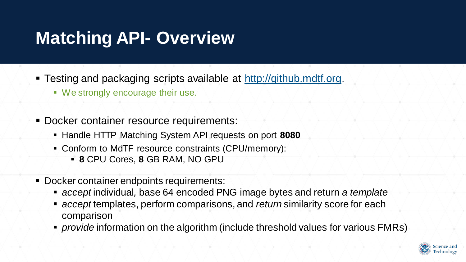# **Matching API- Overview**

- **EXTERGE 15 Testing and packaging scripts available at http://github.mdtf.org.** 
	- We strongly encourage their use.
- **Docker container resource requirements:** 
	- Handle HTTP Matching System API requests on port 8080
	- Conform to MdTF resource constraints (CPU/memory):
		- **8** CPU Cores, **8** GB RAM, NO GPU
- Docker container endpoints requirements:
	- *accept* individual, base 64 encoded PNG image bytes and return *a template*
	- *accept* templates, perform comparisons, and *return* similarity score for each comparison
	- *provide* information on the algorithm (include threshold values for various FMRs)

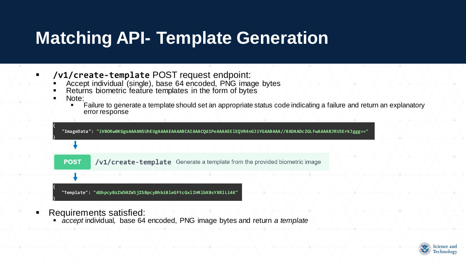# **Matching API- Template Generation**

- **/v1/create-template** POST request endpoint:
	- **EXPLEM** Accept individual (single), base 64 encoded, PNG image bytes
	- **EXECT** Returns biometric feature templates in the form of bytes
	- Note:
		- Failure to generate a template should set an appropriate status code indicating a failure and return an explanatory error response



- Requirements satisfied:
	- *accept* individual, base 64 encoded, PNG image bytes and return *a template*

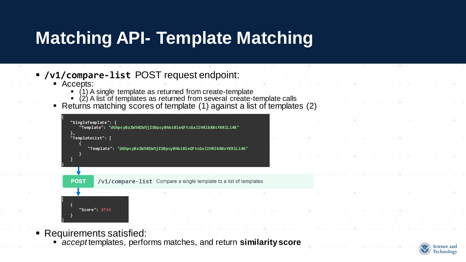# **Matching API- Template Matching**

#### ▪ **/v1/compare-list** POST request endpoint:

- Accepts:
	- (1) A single template as returned from create-template
	- $\bullet$  (2) A list of templates as returned from several create-template calls
- Returns matching scores of template (1) against a list of templates (2)



- Requirements satisfied:
	- *accept* templates, performs matches, and return **similarity score**

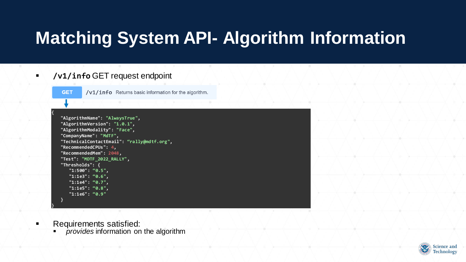# **Matching System API- Algorithm Information**

#### ▪ **/v1/info** GET request endpoint



**{** 

**}**

/v1/info Returns basic information for the algorithm.

```
"AlgorithmName": "AlwaysTrue", 
"AlgorithmVersion": "1.0.1", 
"AlgorithmModality": "Face", 
"CompanyName": "MdTF", 
"TechnicalContactEmail": "rally@mdtf.org", 
"RecommendedCPUs": 4, 
"RecommendedMem": 2048, 
"Test": "MDTF_2022_RALLY", 
"Thresholds": { 
   "1:500": "0.5", 
   "1:1e3": "0.6", 
   "1:1e4": "0.7", 
   "1:1e5": "0.8", 
   "1:1e6": "0.9"
}
```
- Requirements satisfied:
	- *provides* information on the algorithm

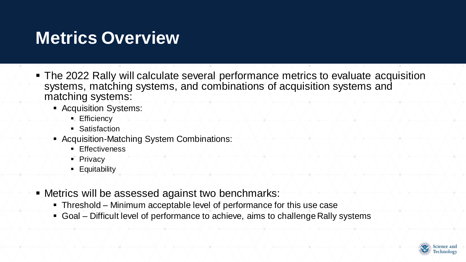## **Metrics Overview**

- The 2022 Rally will calculate several performance metrics to evaluate acquisition systems, matching systems, and combinations of acquisition systems and matching systems:
	- **Acquisition Systems:** 
		- **Efficiency**
		- Satisfaction
	- Acquisition-Matching System Combinations:
		- **Effectiveness**
		- **Privacy**
		- **Equitability**
- **EXECT:** Metrics will be assessed against two benchmarks:
	- Threshold Minimum acceptable level of performance for this use case
	- Goal Difficult level of performance to achieve, aims to challenge Rally systems

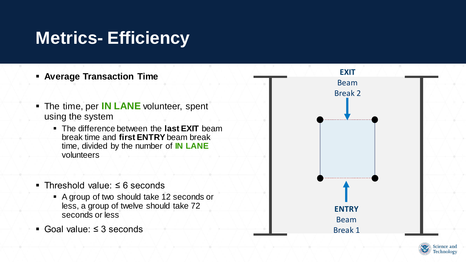# **Metrics- Efficiency**



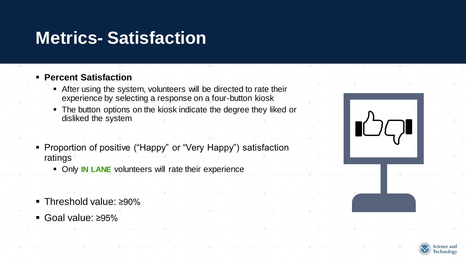#### **Metrics- Satisfaction**

#### ▪ **Percent Satisfaction**

- **EXTER After using the system, volunteers will be directed to rate their** experience by selecting a response on a four-button kiosk
- **.** The button options on the kiosk indicate the degree they liked or disliked the system
- Proportion of positive ("Happy" or "Very Happy") satisfaction ratings
	- **EX Only IN LANE** volunteers will rate their experience
- Threshold value: ≥90%
- Goal value: ≥95%



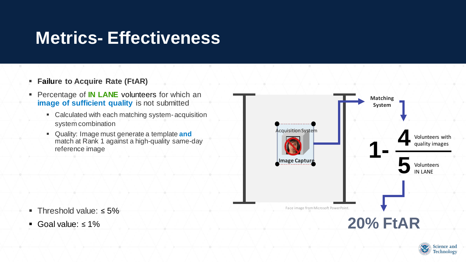## **Metrics- Effectiveness**

- **Failure to Acquire Rate (FtAR)**
- Percentage of **IN LANE** volunteers for which an **image of sufficient quality** is not submitted
	- Calculated with each matching system- acquisition system combination
	- Quality: Image must generate a template **and** match at Rank 1 against a high-quality same-day reference image



- Threshold value: ≤ 5%
- Goal value:  $\leq 1\%$

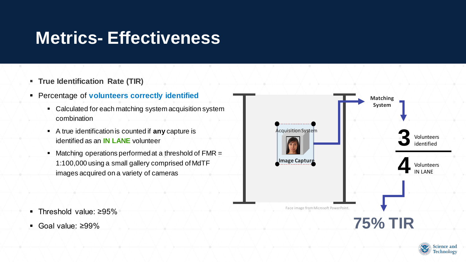## **Metrics- Effectiveness**

- **True Identification Rate (TIR)**
- Percentage of **volunteers correctly identified**
	- Calculated for each matching system acquisition system combination
	- A true identification is counted if **any** capture is identified as an **IN LANE** volunteer
	- Matching operations performed at a threshold of FMR = 1:100,000 using a small gallery comprised of MdTF images acquired on a variety of cameras



▪ Goal value: ≥99%



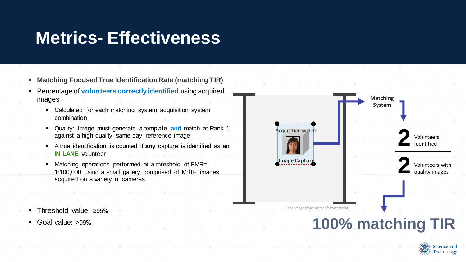#### **Metrics- Effectiveness**

- **Matching Focused True Identification Rate (matching TIR)**
- Percentage of **volunteers correctly identified** using acquired images
	- **Calculated for each matching system acquisition system** combination
	- Quality: Image must generate a template **and** match at Rank 1 against a high-quality same-day reference image
	- A true identification is counted if **any** capture is identified as an **IN LANE** volunteer
	- Matching operations performed at a threshold of FMR= 1:100,000 using a small gallery comprised of MdTF images acquired on a variety of cameras
- Threshold value: ≥95%
- Goal value: ≥99%



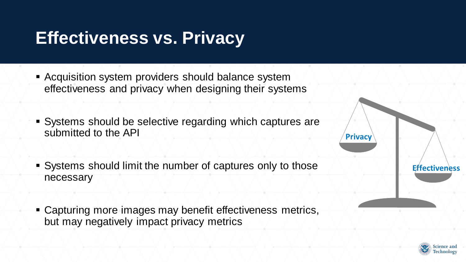## **Effectiveness vs. Privacy**

- **E** Acquisition system providers should balance system effectiveness and privacy when designing their systems
- Systems should be selective regarding which captures are submitted to the API
- Systems should limit the number of captures only to those necessary
- **E** Capturing more images may benefit effectiveness metrics, but may negatively impact privacy metrics



**Effectiveness**

**Privacy**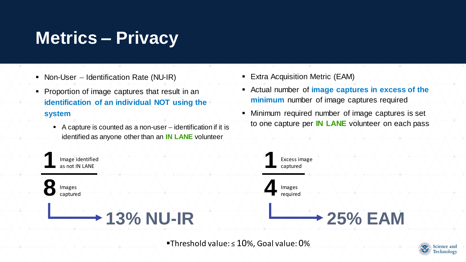# **Metrics – Privacy**

- Non-User Identification Rate (NU-IR)
- Proportion of image captures that result in an **identification of an individual NOT using the system**
	- A capture is counted as a non-user identification if it is identified as anyone other than an **IN LANE** volunteer
- **Extra Acquisition Metric (EAM)**
- Actual number of **image captures in excess of the minimum** number of image captures required
- **E** Minimum required number of image captures is set to one capture per **IN LANE** volunteer on each pass



▪Threshold value: ≤ 10%, Goal value: 0%

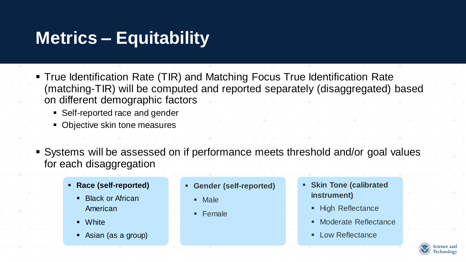# **Metrics – Equitability**

- **True Identification Rate (TIR) and Matching Focus True Identification Rate** (matching-TIR) will be computed and reported separately (disaggregated) based on different demographic factors
	- Self-reported race and gender
	- Objective skin tone measures
- Systems will be assessed on if performance meets threshold and/or goal values for each disaggregation
	- **Race (self-reported)**
		- Black or African American
		- White
		- Asian (as a group)
- **Gender (self-reported)**
	- Male
	- Female
- **Skin Tone (calibrated instrument)** 
	- High Reflectance
	- Moderate Reflectance
	- Low Reflectance

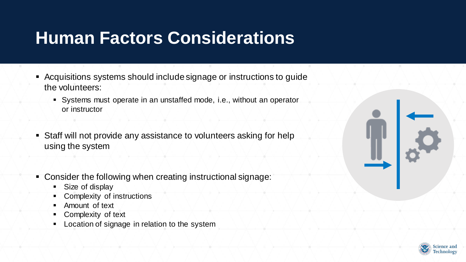## **Human Factors Considerations**

- Acquisitions systems should include signage or instructions to guide the volunteers:
	- Systems must operate in an unstaffed mode, i.e., without an operator or instructor
- **EXTERF Staff will not provide any assistance to volunteers asking for help** using the system
- Consider the following when creating instructional signage:
	- Size of display
	- Complexity of instructions
	- Amount of text
	- Complexity of text
	- Location of signage in relation to the system



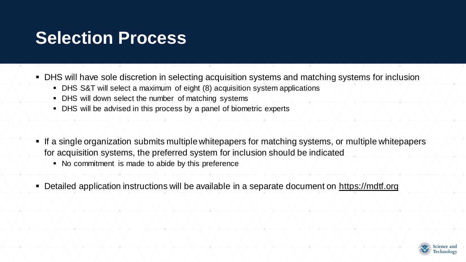#### **Selection Process**

■ DHS will have sole discretion in selecting acquisition systems and matching systems for inclusion

- DHS S&T will select a maximum of eight (8) acquisition system applications
- DHS will down select the number of matching systems
- DHS will be advised in this process by a panel of biometric experts
- If a single organization submits multiple whitepapers for matching systems, or multiple whitepapers for acquisition systems, the preferred system for inclusion should be indicated
	- No commitment is made to abide by this preference
- Detailed application instructions will be available in a separate document on https://mdtf.org

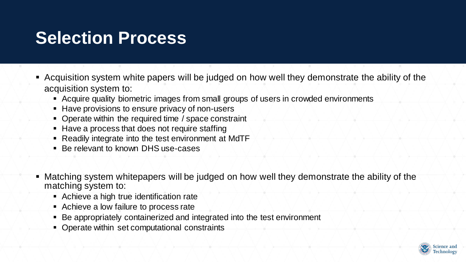### **Selection Process**

- Acquisition system white papers will be judged on how well they demonstrate the ability of the acquisition system to:
	- Acquire quality biometric images from small groups of users in crowded environments
	- Have provisions to ensure privacy of non-users
	- Operate within the required time / space constraint
	- Have a process that does not require staffing
	- Readily integrate into the test environment at MdTF
	- Be relevant to known DHS use-cases
- Matching system whitepapers will be judged on how well they demonstrate the ability of the matching system to:
	- Achieve a high true identification rate
	- Achieve a low failure to process rate
	- Be appropriately containerized and integrated into the test environment
	- Operate within set computational constraints

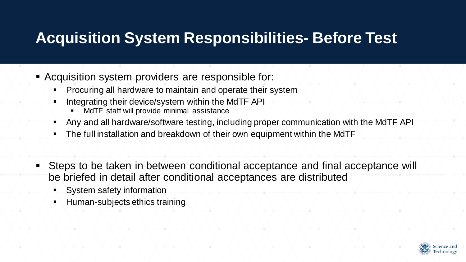#### **Acquisition System Responsibilities- Before Test**

- **EXACQUISITION System providers are responsible for:** 
	- Procuring all hardware to maintain and operate their system
	- Integrating their device/system within the MdTF API
		- MdTF staff will provide minimal assistance
	- Any and all hardware/software testing, including proper communication with the MdTF API
	- The full installation and breakdown of their own equipment within the MdTF
	- Steps to be taken in between conditional acceptance and final acceptance will be briefed in detail after conditional acceptances are distributed
		- System safety information
		- Human-subjects ethics training

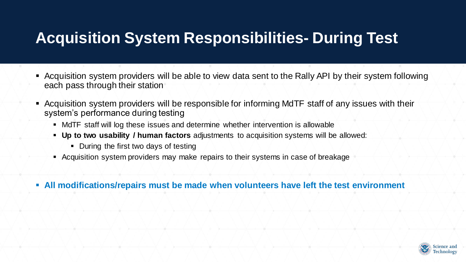#### **Acquisition System Responsibilities- During Test**

- Acquisition system providers will be able to view data sent to the Rally API by their system following each pass through their station
- Acquisition system providers will be responsible for informing MdTF staff of any issues with their system's performance during testing
	- MdTF staff will log these issues and determine whether intervention is allowable
	- **Up to two usability / human factors** adjustments to acquisition systems will be allowed:
		- During the first two days of testing
	- Acquisition system providers may make repairs to their systems in case of breakage
- **EXTE All modifications/repairs must be made when volunteers have left the test environment**

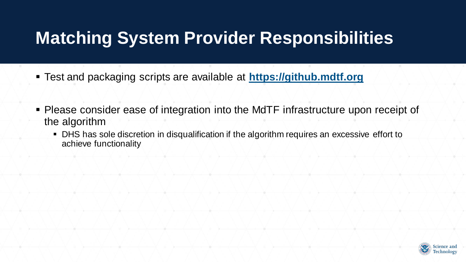## **Matching System Provider Responsibilities**

- Test and packaging scripts are available at **https://github.mdtf.org**
- Please consider ease of integration into the MdTF infrastructure upon receipt of the algorithm
	- DHS has sole discretion in disqualification if the algorithm requires an excessive effort to achieve functionality